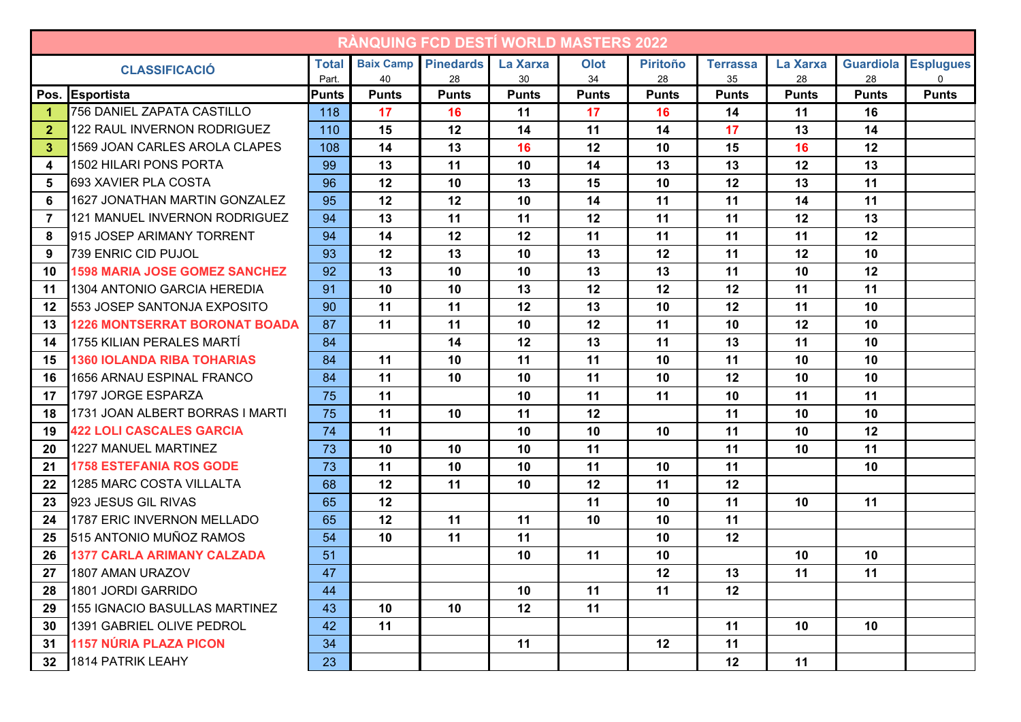| <b>RANQUING FCD DESTI WORLD MASTERS 2022</b> |                                      |              |                  |                  |              |              |                 |                 |              |                  |                  |
|----------------------------------------------|--------------------------------------|--------------|------------------|------------------|--------------|--------------|-----------------|-----------------|--------------|------------------|------------------|
| <b>CLASSIFICACIÓ</b>                         |                                      | <b>Total</b> | <b>Baix Camp</b> | <b>Pinedards</b> | La Xarxa     | Olot         | <b>Piritoño</b> | <b>Terrassa</b> | La Xarxa     | <b>Guardiola</b> | <b>Esplugues</b> |
|                                              |                                      | Part.        | 40               | 28               | 30           | 34           | 28              | 35              | 28           | 28               | 0                |
|                                              | Pos. Esportista                      | <b>Punts</b> | <b>Punts</b>     | <b>Punts</b>     | <b>Punts</b> | <b>Punts</b> | <b>Punts</b>    | <b>Punts</b>    | <b>Punts</b> | <b>Punts</b>     | <b>Punts</b>     |
| -1                                           | 756 DANIEL ZAPATA CASTILLO           | 118          | 17               | 16               | 11           | 17           | 16              | 14              | 11           | 16               |                  |
| 2                                            | 122 RAUL INVERNON RODRIGUEZ          | 110          | 15               | 12               | 14           | 11           | 14              | 17              | 13           | 14               |                  |
| 3                                            | 1569 JOAN CARLES AROLA CLAPES        | 108          | 14               | 13               | 16           | 12           | 10              | 15              | 16           | 12               |                  |
| 4                                            | 1502 HILARI PONS PORTA               | 99           | 13               | 11               | 10           | 14           | 13              | 13              | 12           | 13               |                  |
| 5                                            | <b>693 XAVIER PLA COSTA</b>          | 96           | 12               | 10               | 13           | 15           | 10              | 12              | 13           | 11               |                  |
| 6                                            | 1627 JONATHAN MARTIN GONZALEZ        | 95           | 12               | 12               | 10           | 14           | 11              | 11              | 14           | 11               |                  |
| -7                                           | 121 MANUEL INVERNON RODRIGUEZ        | 94           | 13               | 11               | 11           | 12           | 11              | 11              | 12           | 13               |                  |
| -8                                           | 915 JOSEP ARIMANY TORRENT            | 94           | 14               | 12               | 12           | 11           | 11              | 11              | 11           | 12               |                  |
| 9                                            | 739 ENRIC CID PUJOL                  | 93           | 12               | 13               | 10           | 13           | 12              | 11              | 12           | 10               |                  |
| 10                                           | <b>1598 MARIA JOSE GOMEZ SANCHEZ</b> | 92           | 13               | 10               | 10           | 13           | 13              | 11              | 10           | 12               |                  |
| 11                                           | 1304 ANTONIO GARCIA HEREDIA          | 91           | 10               | 10               | 13           | 12           | 12              | 12              | 11           | 11               |                  |
| 12                                           | <b>553 JOSEP SANTONJA EXPOSITO</b>   | 90           | 11               | 11               | 12           | 13           | 10              | 12              | 11           | 10               |                  |
| 13                                           | <b>1226 MONTSERRAT BORONAT BOADA</b> | 87           | 11               | 11               | 10           | 12           | 11              | 10              | 12           | 10               |                  |
| 14                                           | 1755 KILIAN PERALES MARTÍ            | 84           |                  | 14               | 12           | 13           | 11              | 13              | 11           | 10               |                  |
| 15                                           | <b>1360 IOLANDA RIBA TOHARIAS</b>    | 84           | 11               | 10               | 11           | 11           | 10              | 11              | 10           | 10               |                  |
| 16                                           | 1656 ARNAU ESPINAL FRANCO            | 84           | 11               | 10               | 10           | 11           | 10              | 12              | 10           | 10               |                  |
| 17                                           | 1797 JORGE ESPARZA                   | 75           | 11               |                  | 10           | 11           | 11              | 10              | 11           | 11               |                  |
| 18                                           | 1731 JOAN ALBERT BORRAS I MARTI      | 75           | 11               | 10               | 11           | 12           |                 | 11              | 10           | 10               |                  |
| 19                                           | <b>422 LOLI CASCALES GARCIA</b>      | 74           | 11               |                  | 10           | 10           | 10              | 11              | 10           | 12               |                  |
| 20                                           | 1227 MANUEL MARTINEZ                 | 73           | 10               | 10               | 10           | 11           |                 | 11              | 10           | 11               |                  |
| 21                                           | <b>1758 ESTEFANIA ROS GODE</b>       | 73           | 11               | 10               | 10           | 11           | 10              | 11              |              | 10               |                  |
| 22                                           | 1285 MARC COSTA VILLALTA             | 68           | 12               | 11               | 10           | 12           | 11              | 12              |              |                  |                  |
| 23                                           | 923 JESUS GIL RIVAS                  | 65           | 12               |                  |              | 11           | 10              | 11              | 10           | 11               |                  |
| 24                                           | 1787 ERIC INVERNON MELLADO           | 65           | 12               | 11               | 11           | 10           | 10              | 11              |              |                  |                  |
| 25                                           | 515 ANTONIO MUÑOZ RAMOS              | 54           | 10               | 11               | 11           |              | 10              | 12              |              |                  |                  |
| 26                                           | <b>1377 CARLA ARIMANY CALZADA</b>    | 51           |                  |                  | 10           | 11           | 10              |                 | 10           | 10               |                  |
| 27                                           | 1807 AMAN URAZOV                     | 47           |                  |                  |              |              | 12              | 13              | 11           | 11               |                  |
| 28                                           | 1801 JORDI GARRIDO                   | 44           |                  |                  | 10           | 11           | 11              | 12              |              |                  |                  |
| 29                                           | <b>155 IGNACIO BASULLAS MARTINEZ</b> | 43           | 10               | 10               | 12           | 11           |                 |                 |              |                  |                  |
| 30 <sup>°</sup>                              | 1391 GABRIEL OLIVE PEDROL            | 42           | 11               |                  |              |              |                 | 11              | 10           | 10 <sup>°</sup>  |                  |
| 31                                           | 1157 NÚRIA PLAZA PICON               | 34           |                  |                  | 11           |              | 12              | 11              |              |                  |                  |
|                                              | 32 1814 PATRIK LEAHY                 | 23           |                  |                  |              |              |                 | 12              | 11           |                  |                  |